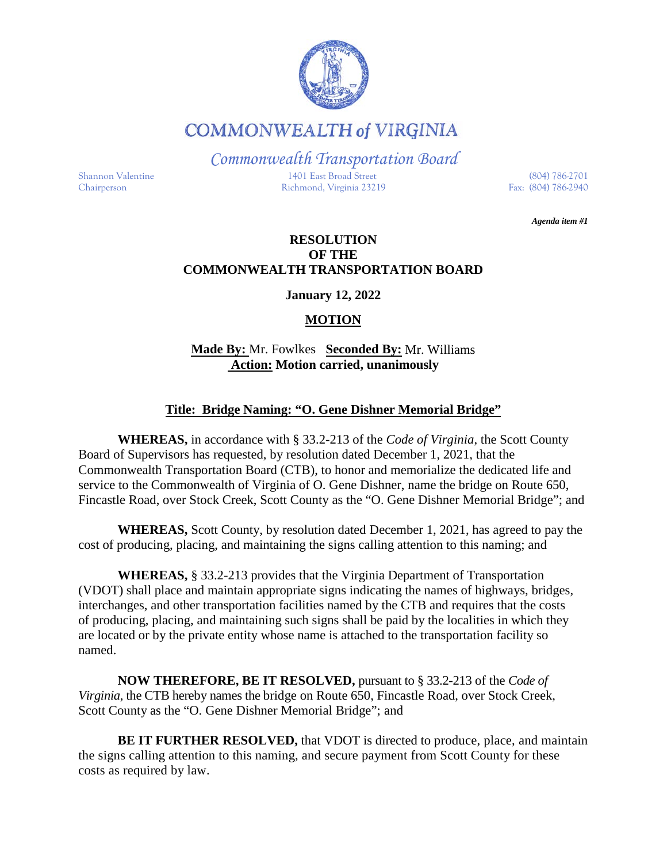

**COMMONWEALTH of VIRGINIA** 

*Commonwealth Transportation Board*

Shannon Valentine 1401 East Broad Street (804) 786-2701 Chairperson Richmond, Virginia 23219 Fax: (804) 786-2940

*Agenda item #1*

## **RESOLUTION OF THE COMMONWEALTH TRANSPORTATION BOARD**

**January 12, 2022**

# **MOTION**

# **Made By:** Mr. Fowlkes **Seconded By:** Mr. Williams **Action: Motion carried, unanimously**

# **Title: Bridge Naming: "O. Gene Dishner Memorial Bridge"**

**WHEREAS,** in accordance with § 33.2-213 of the *Code of Virginia*, the Scott County Board of Supervisors has requested, by resolution dated December 1, 2021, that the Commonwealth Transportation Board (CTB), to honor and memorialize the dedicated life and service to the Commonwealth of Virginia of O. Gene Dishner, name the bridge on Route 650, Fincastle Road, over Stock Creek, Scott County as the "O. Gene Dishner Memorial Bridge"; and

**WHEREAS,** Scott County, by resolution dated December 1, 2021, has agreed to pay the cost of producing, placing, and maintaining the signs calling attention to this naming; and

**WHEREAS,** § 33.2-213 provides that the Virginia Department of Transportation (VDOT) shall place and maintain appropriate signs indicating the names of highways, bridges, interchanges, and other transportation facilities named by the CTB and requires that the costs of producing, placing, and maintaining such signs shall be paid by the localities in which they are located or by the private entity whose name is attached to the transportation facility so named.

**NOW THEREFORE, BE IT RESOLVED,** pursuant to § 33.2-213 of the *Code of Virginia*, the CTB hereby names the bridge on Route 650, Fincastle Road, over Stock Creek, Scott County as the "O. Gene Dishner Memorial Bridge"; and

**BE IT FURTHER RESOLVED,** that VDOT is directed to produce, place, and maintain the signs calling attention to this naming, and secure payment from Scott County for these costs as required by law.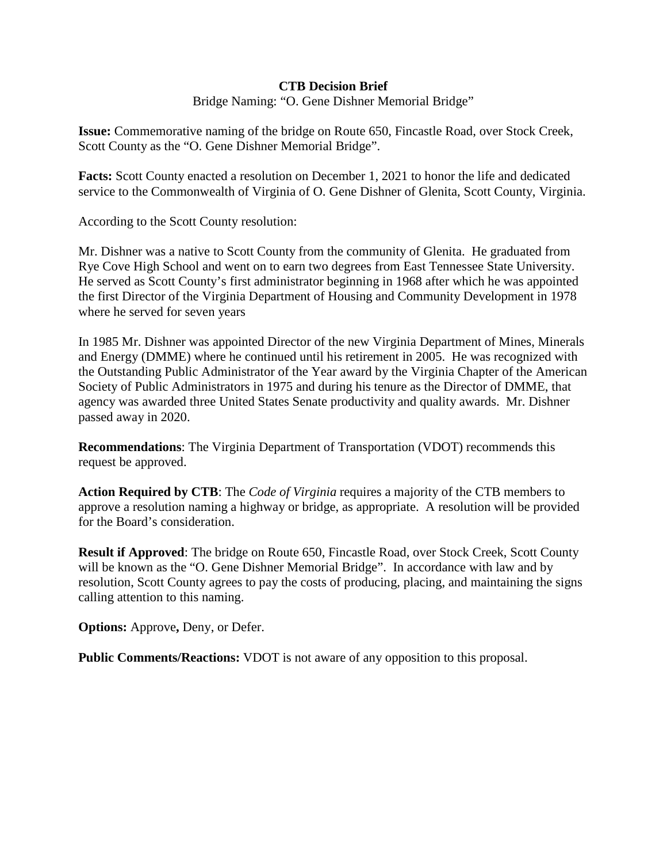### **CTB Decision Brief**

Bridge Naming: "O. Gene Dishner Memorial Bridge"

**Issue:** Commemorative naming of the bridge on Route 650, Fincastle Road, over Stock Creek, Scott County as the "O. Gene Dishner Memorial Bridge".

**Facts:** Scott County enacted a resolution on December 1, 2021 to honor the life and dedicated service to the Commonwealth of Virginia of O. Gene Dishner of Glenita, Scott County, Virginia.

According to the Scott County resolution:

Mr. Dishner was a native to Scott County from the community of Glenita. He graduated from Rye Cove High School and went on to earn two degrees from East Tennessee State University. He served as Scott County's first administrator beginning in 1968 after which he was appointed the first Director of the Virginia Department of Housing and Community Development in 1978 where he served for seven years

In 1985 Mr. Dishner was appointed Director of the new Virginia Department of Mines, Minerals and Energy (DMME) where he continued until his retirement in 2005. He was recognized with the Outstanding Public Administrator of the Year award by the Virginia Chapter of the American Society of Public Administrators in 1975 and during his tenure as the Director of DMME, that agency was awarded three United States Senate productivity and quality awards. Mr. Dishner passed away in 2020.

**Recommendations**: The Virginia Department of Transportation (VDOT) recommends this request be approved.

**Action Required by CTB**: The *Code of Virginia* requires a majority of the CTB members to approve a resolution naming a highway or bridge, as appropriate. A resolution will be provided for the Board's consideration.

**Result if Approved**: The bridge on Route 650, Fincastle Road, over Stock Creek, Scott County will be known as the "O. Gene Dishner Memorial Bridge". In accordance with law and by resolution, Scott County agrees to pay the costs of producing, placing, and maintaining the signs calling attention to this naming.

**Options:** Approve**,** Deny, or Defer.

**Public Comments/Reactions:** VDOT is not aware of any opposition to this proposal.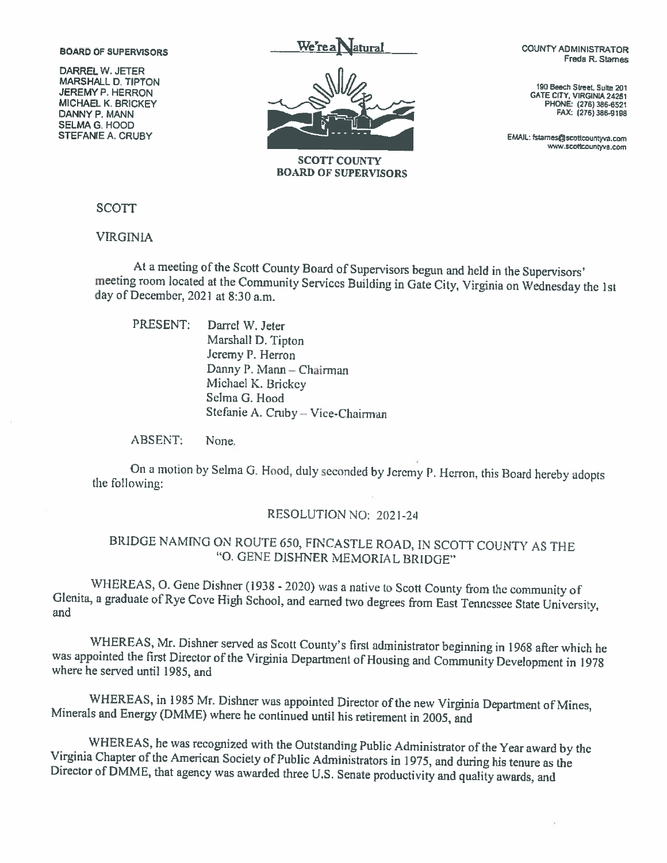#### **BOARD OF SUPERVISORS**

**DARREL W. JETER MARSHALL D. TIPTON JEREMY P. HERRON MICHAEL K. BRICKEY** DANNY P. MANN **SELMA G. HOOD STEFANIE A. CRUBY** 



**SCOTT COUNTY BOARD OF SUPERVISORS**  **COUNTY ADMINISTRATOR** Freda R. Stames

190 Beech Street, Suite 201 **GATE CITY, VIRGINIA 24251** PHONE: (276) 386-6521 FAX: (276) 386-9198

EMAIL: fstarnes@scottcountyva.com www.scottcountyva.com

**SCOTT** 

**VIRGINIA** 

At a meeting of the Scott County Board of Supervisors begun and held in the Supervisors' meeting room located at the Community Services Building in Gate City, Virginia on Wednesday the 1st day of December, 2021 at 8:30 a.m.

PRESENT: Darrel W. Jeter Marshall D. Tipton Jeremy P. Herron Danny P. Mann - Chairman Michael K. Brickey Selma G. Hood Stefanie A. Cruby - Vice-Chairman

**ABSENT:** None.

On a motion by Selma G. Hood, duly seconded by Jeremy P. Herron, this Board hereby adopts the following:

#### RESOLUTION NO: 2021-24

# BRIDGE NAMING ON ROUTE 650, FINCASTLE ROAD, IN SCOTT COUNTY AS THE "O. GENE DISHNER MEMORIAL BRIDGE"

WHEREAS, O. Gene Dishner (1938 - 2020) was a native to Scott County from the community of Glenita, a graduate of Rye Cove High School, and earned two degrees from East Tennessee State University, and

WHEREAS, Mr. Dishner served as Scott County's first administrator beginning in 1968 after which he was appointed the first Director of the Virginia Department of Housing and Community Development in 1978 where he served until 1985, and

WHEREAS, in 1985 Mr. Dishner was appointed Director of the new Virginia Department of Mines, Minerals and Energy (DMME) where he continued until his retirement in 2005, and

WHEREAS, he was recognized with the Outstanding Public Administrator of the Year award by the Virginia Chapter of the American Society of Public Administrators in 1975, and during his tenure as the Director of DMME, that agency was awarded three U.S. Senate productivity and quality awards, and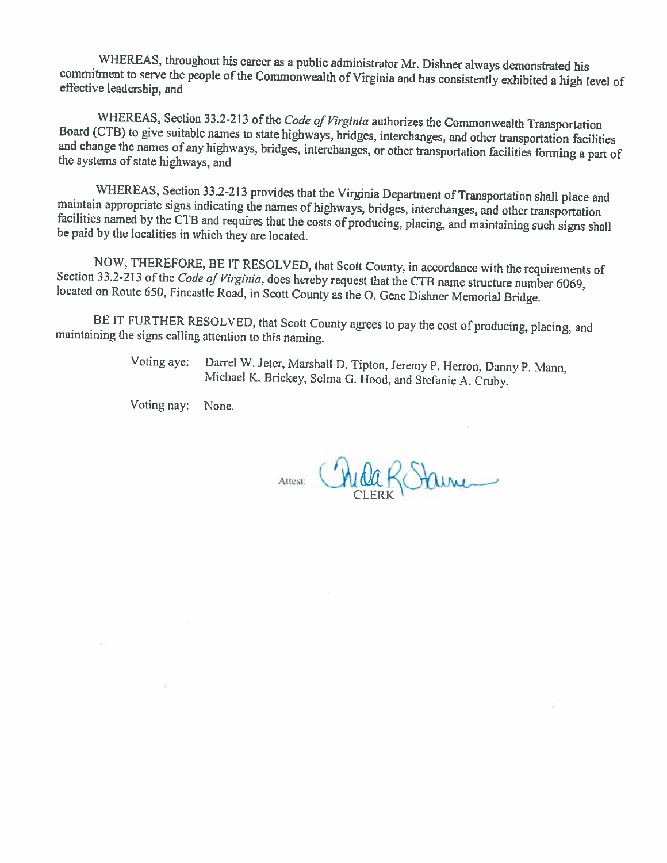WHEREAS, throughout his career as a public administrator Mr. Dishner always demonstrated his commitment to serve the people of the Commonwealth of Virginia and has consistently exhibited a high level of effective leadership, and

WHEREAS, Section 33.2-213 of the Code of Virginia authorizes the Commonwealth Transportation Board (CTB) to give suitable names to state highways, bridges, interchanges, and other transportation facilities and change the names of any highways, bridges, interchanges, or other transportation facilities forming a part of the systems of state highways, and

WHEREAS, Section 33.2-213 provides that the Virginia Department of Transportation shall place and maintain appropriate signs indicating the names of highways, bridges, interchanges, and other transportation facilities named by the CTB and requires that the costs of producing, placing, and maintaining such signs shall be paid by the localities in which they are located.

NOW, THEREFORE, BE IT RESOLVED, that Scott County, in accordance with the requirements of Section 33.2-213 of the Code of Virginia, does hereby request that the CTB name structure number 6069, located on Route 650, Fincastle Road, in Scott County as the O. Gene Dishner Memorial Bridge.

BE IT FURTHER RESOLVED, that Scott County agrees to pay the cost of producing, placing, and maintaining the signs calling attention to this naming.

> Darrel W. Jeter, Marshall D. Tipton, Jeremy P. Herron, Danny P. Mann, Voting aye: Michael K. Brickey, Selma G. Hood, and Stefanie A. Cruby.

Voting nay: None.

×

Attest: Childa Rotaine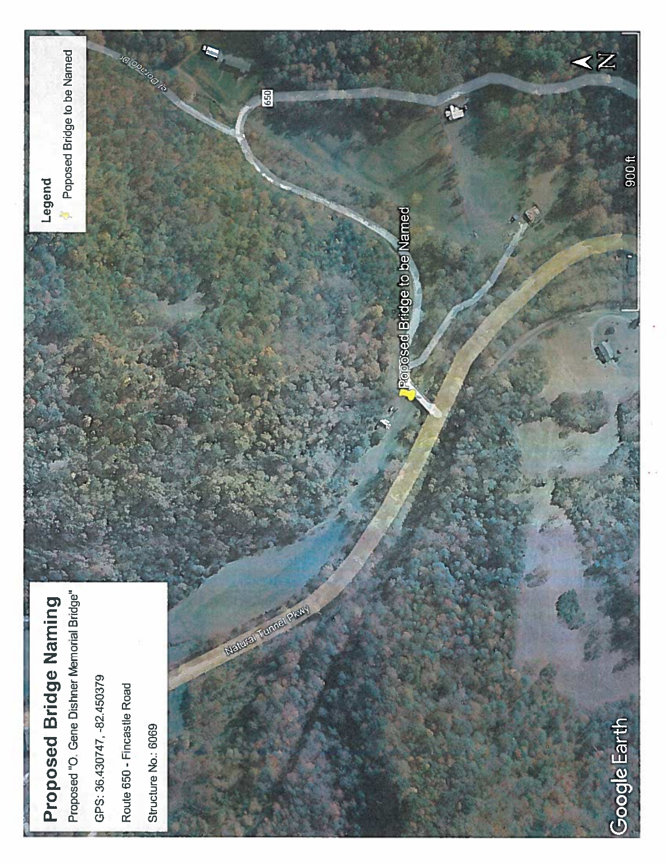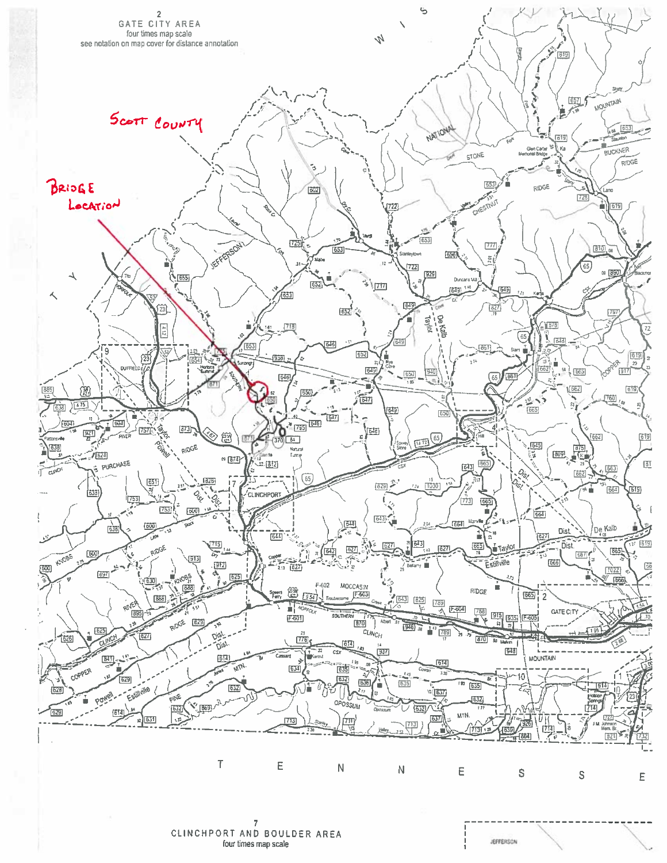